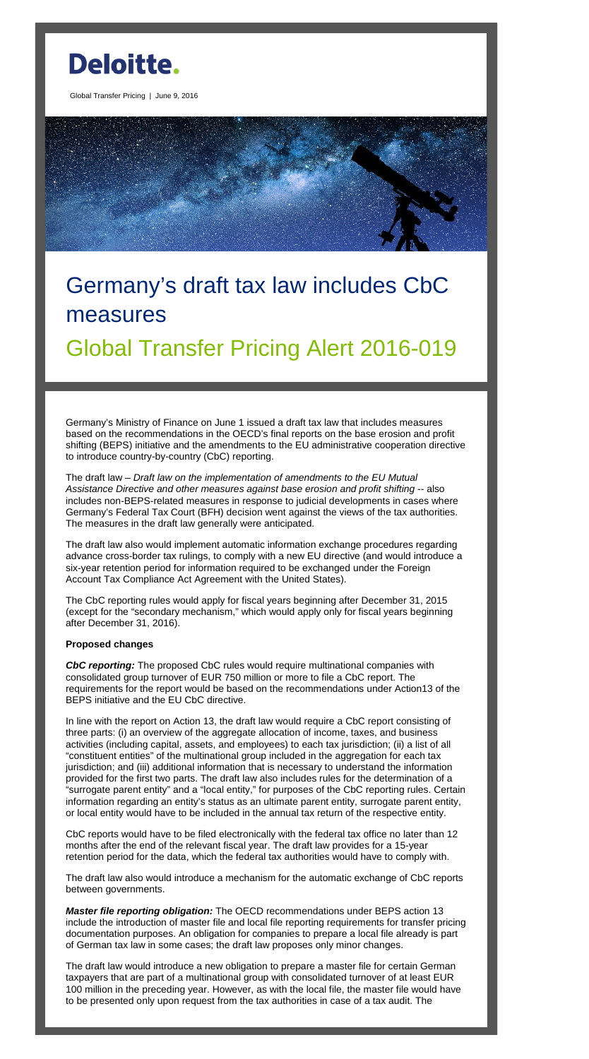

Global Transfer Pricing | June 9, 2016

# Germany's draft tax law includes CbC measures

## Global Transfer Pricing Alert 2016-019

Germany's Ministry of Finance on June 1 issued a draft tax law that includes measures based on the recommendations in the OECD's final reports on the base erosion and profit shifting (BEPS) initiative and the amendments to the EU administrative cooperation directive to introduce country-by-country (CbC) reporting.

The draft law – *Draft law on the implementation of amendments to the EU Mutual Assistance Directive and other measures against base erosion and profit shifting* -- also includes non-BEPS-related measures in response to judicial developments in cases where Germany's Federal Tax Court (BFH) decision went against the views of the tax authorities. The measures in the draft law generally were anticipated.

The draft law also would implement automatic information exchange procedures regarding advance cross-border tax rulings, to comply with a new EU directive (and would introduce a six-year retention period for information required to be exchanged under the Foreign Account Tax Compliance Act Agreement with the United States).

The CbC reporting rules would apply for fiscal years beginning after December 31, 2015 (except for the "secondary mechanism," which would apply only for fiscal years beginning after December 31, 2016).

### **Proposed changes**

*CbC reporting:* The proposed CbC rules would require multinational companies with consolidated group turnover of EUR 750 million or more to file a CbC report. The requirements for the report would be based on the recommendations under Action13 of the BEPS initiative and the EU CbC directive.

In line with the report on Action 13, the draft law would require a CbC report consisting of three parts: (i) an overview of the aggregate allocation of income, taxes, and business activities (including capital, assets, and employees) to each tax jurisdiction; (ii) a list of all "constituent entities" of the multinational group included in the aggregation for each tax jurisdiction; and (iii) additional information that is necessary to understand the information provided for the first two parts. The draft law also includes rules for the determination of a "surrogate parent entity" and a "local entity," for purposes of the CbC reporting rules. Certain information regarding an entity's status as an ultimate parent entity, surrogate parent entity, or local entity would have to be included in the annual tax return of the respective entity.

CbC reports would have to be filed electronically with the federal tax office no later than 12 months after the end of the relevant fiscal year. The draft law provides for a 15-year retention period for the data, which the federal tax authorities would have to comply with.

The draft law also would introduce a mechanism for the automatic exchange of CbC reports between governments.

*Master file reporting obligation:* The OECD recommendations under BEPS action 13 include the introduction of master file and local file reporting requirements for transfer pricing documentation purposes. An obligation for companies to prepare a local file already is part of German tax law in some cases; the draft law proposes only minor changes.

The draft law would introduce a new obligation to prepare a master file for certain German taxpayers that are part of a multinational group with consolidated turnover of at least EUR 100 million in the preceding year. However, as with the local file, the master file would have to be presented only upon request from the tax authorities in case of a tax audit. The